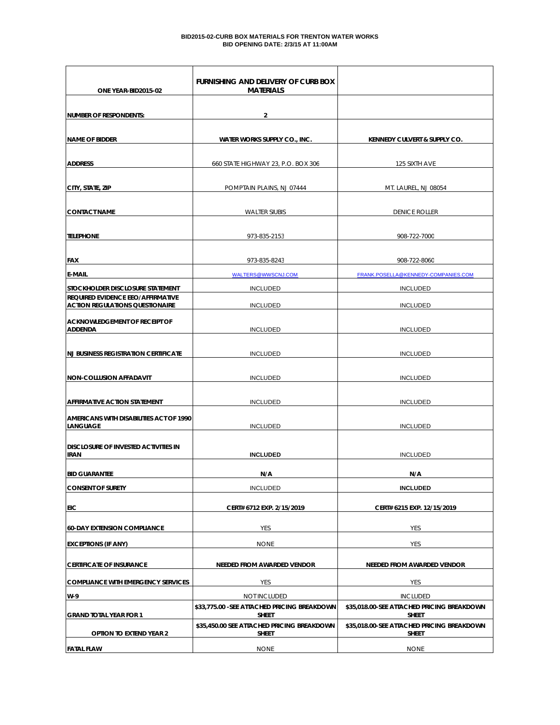#### **BID2015-02-CURB BOX MATERIALS FOR TRENTON WATER WORKS BID OPENING DATE: 2/3/15 AT 11:00AM**

| ONE YEAR-BID2015-02                                                                | <b>FURNISHING AND DELIVERY OF CURB BOX</b><br><b>MATERIALS</b> |                                                     |
|------------------------------------------------------------------------------------|----------------------------------------------------------------|-----------------------------------------------------|
| <b>NUMBER OF RESPONDENTS:</b>                                                      | $\overline{2}$                                                 |                                                     |
| <b>NAME OF BIDDER</b>                                                              | WATER WORKS SUPPLY CO., INC.                                   | KENNEDY CULVERT & SUPPLY CO.                        |
| <b>ADDRESS</b>                                                                     | 660 STATE HIGHWAY 23, P.O. BOX 306                             | 125 SIXTH AVE                                       |
| CITY, STATE, ZIP                                                                   | POMPTAIN PLAINS, NJ 07444                                      | MT. LAUREL, NJ 08054                                |
| <b>CONTACT NAME</b>                                                                | <b>WALTER SIUBIS</b>                                           | <b>DENICE ROLLER</b>                                |
| <b>TELEPHONE</b>                                                                   | 973-835-2153                                                   | 908-722-7000                                        |
| <b>FAX</b>                                                                         | 973-835-8243                                                   | 908-722-8060                                        |
| <b>E-MAIL</b>                                                                      | WALTERS@WWSCNJ.COM                                             | FRANK.POSELLA@KENNEDY-COMPANIES.COM                 |
| STOCKHOLDER DISCLOSURE STATEMENT                                                   | <b>INCLUDED</b>                                                | <b>INCLUDED</b>                                     |
| <b>REQUIRED EVIDENCE EEO/AFFIRMATIVE</b><br><b>ACTION REGULATIONS QUESTIONAIRE</b> | <b>INCLUDED</b>                                                | <b>INCLUDED</b>                                     |
| <b>ACKNOWLEDGEMENT OF RECEIPT OF</b><br><b>ADDENDA</b>                             | <b>INCLUDED</b>                                                | <b>INCLUDED</b>                                     |
| <b>NJ BUSINESS REGISTRATION CERTIFICATE</b>                                        | <b>INCLUDED</b>                                                | <b>INCLUDED</b>                                     |
| <b>NON-COLLUSION AFFADAVIT</b>                                                     | <b>INCLUDED</b>                                                | <b>INCLUDED</b>                                     |
| <b>AFFIRMATIVE ACTION STATEMENT</b>                                                | <b>INCLUDED</b>                                                | <b>INCLUDED</b>                                     |
| AMERICANS WITH DISABILITIES ACT OF 1990<br>LANGUAGE                                | <b>INCLUDED</b>                                                | <b>INCLUDED</b>                                     |
| <b>DISCLOSURE OF INVESTED ACTIVITIES IN</b><br><b>IRAN</b>                         | <b>INCLUDED</b>                                                | <b>INCLUDED</b>                                     |
|                                                                                    |                                                                |                                                     |
| <b>BID GUARANTEE</b><br><b>CONSENT OF SURETY</b>                                   | N/A<br><b>INCLUDED</b>                                         | N/A<br><b>INCLUDED</b>                              |
|                                                                                    |                                                                |                                                     |
| EIC                                                                                | CERT# 6712 EXP. 2/15/2019                                      | CERT# 6215 EXP. 12/15/2019                          |
| <b>60-DAY EXTENSION COMPLIANCE</b>                                                 | YES                                                            | YES                                                 |
| <b>EXCEPTIONS (IF ANY)</b>                                                         | <b>NONE</b>                                                    | YES                                                 |
| <b>CERTIFICATE OF INSURANCE</b>                                                    | NEEDED FROM AWARDED VENDOR                                     | NEEDED FROM AWARDED VENDOR                          |
| <b>COMPLIANCE WITH EMERGENCY SERVICES</b>                                          | YES                                                            | YES                                                 |
| $W-9$                                                                              | <b>NOT INCLUDED</b>                                            | <b>INCLUDED</b>                                     |
| <b>GRAND TOTAL YEAR FOR 1</b>                                                      | \$33,775.00 - SEE ATTACHED PRICING BREAKDOWN<br><b>SHEET</b>   | \$35,018.00-SEE ATTACHED PRICING BREAKDOWN<br>SHEET |
| <b>OPTION TO EXTEND YEAR 2</b>                                                     | \$35,450.00 SEE ATTACHED PRICING BREAKDOWN<br>SHEET            | \$35,018.00-SEE ATTACHED PRICING BREAKDOWN<br>SHEET |
| <b>FATAL FLAW</b>                                                                  | <b>NONE</b>                                                    | <b>NONE</b>                                         |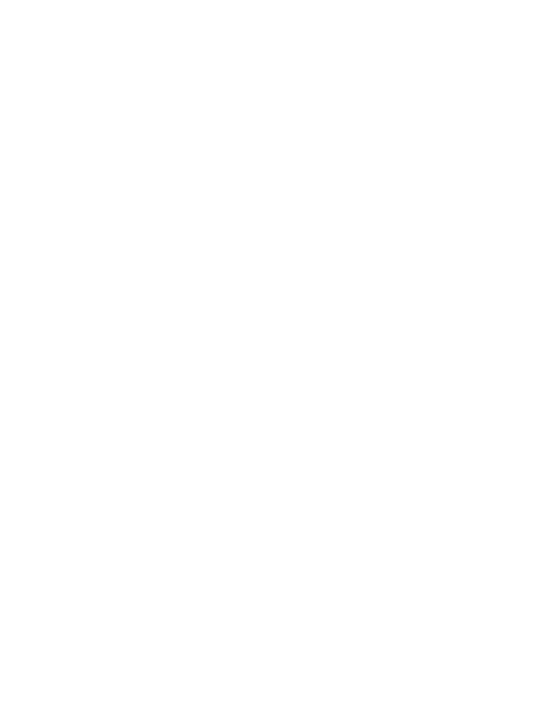| ONE YEAR-BID2015-02                                                                | FURNISHING AND DELIVERY OF CURB BOX<br><b>MATERIALS</b> |                                                                                                         |
|------------------------------------------------------------------------------------|---------------------------------------------------------|---------------------------------------------------------------------------------------------------------|
| NUMBER OF RESPONDENTS:                                                             | 2                                                       |                                                                                                         |
| NAME OF BIDDER                                                                     | WATER WORKS SUPPLY CO., INC.                            | KENNEDY CULVERT & SUPPLY CO.                                                                            |
| ADDRESS                                                                            | 660 STATE HIGHWAY 23, P.O. BOX 36                       | 125 SIXTH AVE                                                                                           |
| CITY, STATE, ZIP                                                                   | POMPTAIN PLAINS, NJ 07444                               | MT. LAUREL, NJ 0805                                                                                     |
| <b>CONTACT NAME</b>                                                                | <b>WALTER SIUBIS</b>                                    | DENICE ROLLER                                                                                           |
| <b>TELEPHONE</b>                                                                   | 973-835-2153                                            | 908-722-7000                                                                                            |
| FAX                                                                                | 973-835-8243                                            | 908-722-8060                                                                                            |
| E-MAIL                                                                             | WALTERS@WWSCNJ.COM                                      | FRANK.POSELLA@KENNEDY-COMPANIES.COM                                                                     |
| STOCKHOLDER DISCLOSURE STATEMENT                                                   | <b>INCLUDED</b>                                         | <b>INCLUDED</b>                                                                                         |
| <b>REQUIRED EVIDENCE EEO/AFFIRMATIVE</b><br><b>ACTION REGULATIONS QUESTIONAIRE</b> | <b>INCLUDED</b>                                         | <b>INCLUDED</b>                                                                                         |
| ACKNOWLEDGEMENT OF RECEIPT OF<br>ADDENDA                                           | <b>INCLUDED</b>                                         | <b>INCLUDED</b>                                                                                         |
| NJ BUSINESS REGISTRATION CERTIFICATE                                               | <b>INCLUDED</b>                                         | <b>INCLUDED</b>                                                                                         |
| NON-COLLUSION AFFADAVIT                                                            | <b>INCLUDED</b>                                         | <b>INCLUDED</b>                                                                                         |
| <b>AFFIRMATIVE ACTION STATEMENT</b>                                                | <b>INCLUDED</b>                                         | <b>INCLUDED</b>                                                                                         |
| AMERICANS WITH DISABILITIES ACT OF 1990<br>LANGUAGE                                | <b>INCLUDED</b>                                         | <b>INCLUDED</b>                                                                                         |
| DISCLOSURE OF INVESTED ACTIVITIES IN<br><b>IRAN</b>                                | <b>INCLUDED</b>                                         | <b>INCLUDED</b>                                                                                         |
| <b>BID GUARANTEE</b>                                                               | N/A                                                     | N/A                                                                                                     |
| CONSENT OF SURETY                                                                  | <b>INCLUDED</b>                                         | <b>INCLUDED</b>                                                                                         |
| <b>EIC</b>                                                                         | CERT# 6712 EXP. 2/15/2019                               | CERT# 6215 EXP. 12/15/2019                                                                              |
| 60-DAY EXTENSION COMPLIANCE                                                        | <b>YES</b>                                              | <b>YES</b>                                                                                              |
| <b>EXCEPTIONSIF ANY)</b>                                                           | <b>NONE</b>                                             | <b>YES</b>                                                                                              |
| CERTIFICATE OF INSURANCE                                                           | NEEDED FROM AWARDED VENDOR                              | NEEDED FROM AWARDED VENDOR                                                                              |
| COMPLIANCE WITH EMERGENCY SERVICES                                                 | <b>YES</b>                                              | <b>YES</b>                                                                                              |
| W-9                                                                                | <b>NOT INCLUDED</b>                                     | <b>INCLUDED</b>                                                                                         |
| <b>GRAND TOTAL YEAR FOR 1</b>                                                      | <b>SHEET</b>                                            | \$33,775.00 - SEE ATTACHED PRICING BREAKDOWN \$35,018.00-SEE ATTACHED PRICING BREAKDOWN<br><b>SHEET</b> |
| OPTION TO EXTEND YEAR 2                                                            | <b>SHEET</b>                                            | \$35,450.00 SEE ATTACHED PRICING BREAKDOWN \$35,018.00-SEE ATTACHED PRICING BREAKDOWN<br><b>SHEET</b>   |
| <b>FATAL FLAW</b>                                                                  | <b>NONE</b>                                             | <b>NONE</b>                                                                                             |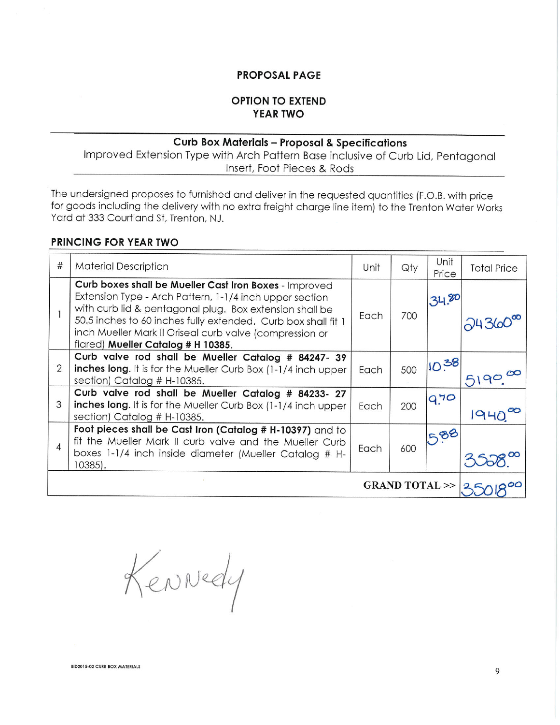# **PROPOSAL PAGE**

# **OPTION TO EXTEND YEAR TWO**

# **Curb Box Materials - Proposal & Specifications**

Improved Extension Type with Arch Pattern Base inclusive of Curb Lid, Pentagonal Insert, Foot Pieces & Rods

The undersigned proposes to furnished and deliver in the requested quantities (F.O.B. with price for goods including the delivery with no extra freight charge line item) to the Trenton Water Works Yard at 333 Courtland St, Trenton, NJ.

## PRINCING FOR YEAR TWO

| #                           | <b>Material Description</b>                                                                                                                                                                                                                                                                                                                    | Unit | Qty | Unit<br>Price | <b>Total Price</b> |
|-----------------------------|------------------------------------------------------------------------------------------------------------------------------------------------------------------------------------------------------------------------------------------------------------------------------------------------------------------------------------------------|------|-----|---------------|--------------------|
|                             | Curb boxes shall be Mueller Cast Iron Boxes - Improved<br>Extension Type - Arch Pattern, 1-1/4 inch upper section<br>with curb lid & pentagonal plug. Box extension shall be<br>50.5 inches to 60 inches fully extended. Curb box shall fit 1<br>inch Mueller Mark II Oriseal curb valve (compression or<br>flared) Mueller Catalog # H 10385. | Each | 700 | 134.80        | 24360              |
| 2                           | Curb valve rod shall be Mueller Catalog # 84247- 39<br>inches long. It is for the Mueller Curb Box (1-1/4 inch upper<br>section) Catalog # H-10385.                                                                                                                                                                                            | Each | 500 | 11038         | 5199               |
| 3                           | Curb valve rod shall be Mueller Catalog # 84233- 27<br>inches long. It is for the Mueller Curb Box (1-1/4 inch upper<br>section) Catalog # H-10385.                                                                                                                                                                                            | Each | 200 | 9.70          |                    |
| 4                           | Foot pieces shall be Cast Iron (Catalog # H-10397) and to<br>fit the Mueller Mark II curb valve and the Mueller Curb<br>boxes 1-1/4 inch inside diameter (Mueller Catalog # H-<br>10385).                                                                                                                                                      | Each | 600 | 588           |                    |
| <b>GRAND TOTAL &gt;&gt;</b> |                                                                                                                                                                                                                                                                                                                                                |      |     |               |                    |

Kennedy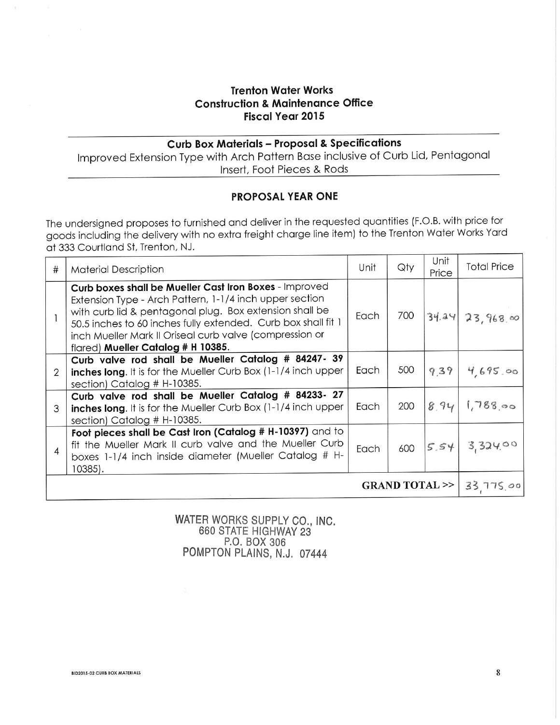# **Trenton Water Works Construction & Maintenance Office Fiscal Year 2015**

# **Curb Box Materials - Proposal & Specifications**

Improved Extension Type with Arch Pattern Base inclusive of Curb Lid, Pentagonal Insert, Foot Pieces & Rods

## **PROPOSAL YEAR ONE**

The undersigned proposes to furnished and deliver in the requested quantities (F.O.B. with price for goods including the delivery with no extra freight charge line item) to the Trenton Water Works Yard at 333 Courtland St, Trenton, NJ.

| #                           | <b>Material Description</b>                                                                                                                                                                                                                                                                                                                    | Unit | Qty | Unit<br>Price | <b>Total Price</b> |
|-----------------------------|------------------------------------------------------------------------------------------------------------------------------------------------------------------------------------------------------------------------------------------------------------------------------------------------------------------------------------------------|------|-----|---------------|--------------------|
|                             | Curb boxes shall be Mueller Cast Iron Boxes - Improved<br>Extension Type - Arch Pattern, 1-1/4 inch upper section<br>with curb lid & pentagonal plug. Box extension shall be<br>50.5 inches to 60 inches fully extended. Curb box shall fit 1<br>inch Mueller Mark II Oriseal curb valve (compression or<br>flared) Mueller Catalog # H 10385. | Each | 700 |               | $34.24$ 23, 968,00 |
| $\overline{2}$              | Curb valve rod shall be Mueller Catalog # 84247- 39<br>inches long. It is for the Mueller Curb Box (1-1/4 inch upper<br>section) Catalog # H-10385.                                                                                                                                                                                            | Each | 500 | 939           | 4,695.00           |
| 3                           | Curb valve rod shall be Mueller Catalog # 84233- 27<br>inches long. It is for the Mueller Curb Box (1-1/4 inch upper<br>section) Catalog # H-10385.                                                                                                                                                                                            | Each | 200 | 8.94          | 1,788,00           |
| $\overline{4}$              | Foot pieces shall be Cast Iron (Catalog # H-10397) and to<br>fit the Mueller Mark II curb valve and the Mueller Curb<br>boxes 1-1/4 inch inside diameter (Mueller Catalog # H-<br>$10385$ ).                                                                                                                                                   | Each | 600 | 5.54          | 3,324,00           |
| <b>GRAND TOTAL &gt;&gt;</b> |                                                                                                                                                                                                                                                                                                                                                |      |     |               | 33 775,00          |

WATER WORKS SUPPLY CO., INC. 660 STATE HIGHWAY 23 P.O. BOX 306 POMPTON PLAINS, N.J. 07444